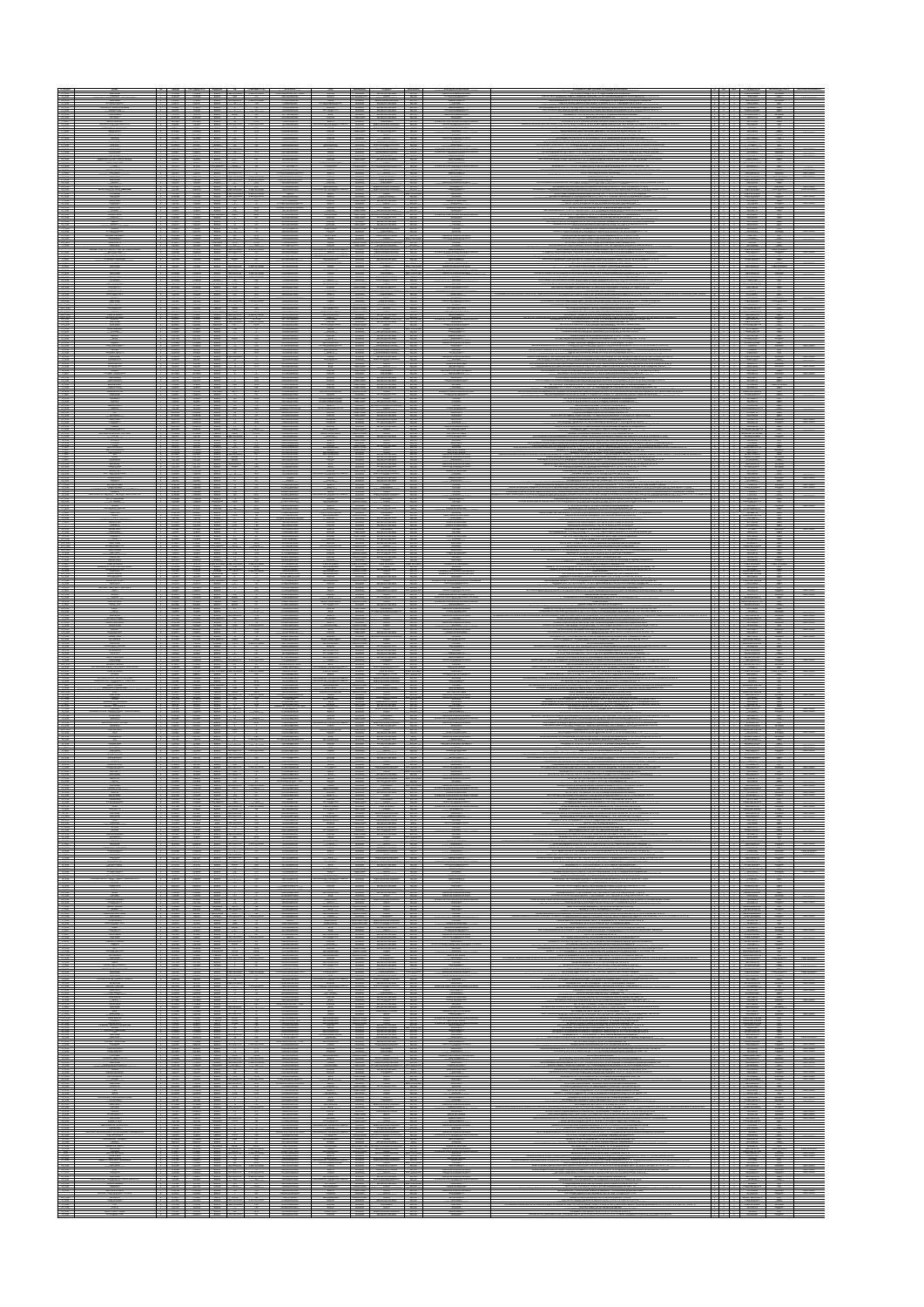|  | e de la composición de la composición de la composición de la composición de la composición de la composición<br>La composición de la composición de la composición de la composición de la composición de la composición de la |  |  |                                                                               |                                                                                                                                                                                                                                                                                                                                                                                                                                                                                        |
|--|---------------------------------------------------------------------------------------------------------------------------------------------------------------------------------------------------------------------------------|--|--|-------------------------------------------------------------------------------|----------------------------------------------------------------------------------------------------------------------------------------------------------------------------------------------------------------------------------------------------------------------------------------------------------------------------------------------------------------------------------------------------------------------------------------------------------------------------------------|
|  |                                                                                                                                                                                                                                 |  |  |                                                                               |                                                                                                                                                                                                                                                                                                                                                                                                                                                                                        |
|  |                                                                                                                                                                                                                                 |  |  |                                                                               |                                                                                                                                                                                                                                                                                                                                                                                                                                                                                        |
|  |                                                                                                                                                                                                                                 |  |  |                                                                               |                                                                                                                                                                                                                                                                                                                                                                                                                                                                                        |
|  |                                                                                                                                                                                                                                 |  |  |                                                                               |                                                                                                                                                                                                                                                                                                                                                                                                                                                                                        |
|  |                                                                                                                                                                                                                                 |  |  |                                                                               |                                                                                                                                                                                                                                                                                                                                                                                                                                                                                        |
|  |                                                                                                                                                                                                                                 |  |  |                                                                               | <b>State</b>                                                                                                                                                                                                                                                                                                                                                                                                                                                                           |
|  |                                                                                                                                                                                                                                 |  |  |                                                                               | $\frac{d\mathbf{U}\mathbf{M}\mathbf{M}}{d\mathbf{U}\mathbf{M}\mathbf{M}\mathbf{M}}$                                                                                                                                                                                                                                                                                                                                                                                                    |
|  |                                                                                                                                                                                                                                 |  |  |                                                                               |                                                                                                                                                                                                                                                                                                                                                                                                                                                                                        |
|  |                                                                                                                                                                                                                                 |  |  |                                                                               |                                                                                                                                                                                                                                                                                                                                                                                                                                                                                        |
|  |                                                                                                                                                                                                                                 |  |  |                                                                               |                                                                                                                                                                                                                                                                                                                                                                                                                                                                                        |
|  |                                                                                                                                                                                                                                 |  |  |                                                                               | 100000                                                                                                                                                                                                                                                                                                                                                                                                                                                                                 |
|  |                                                                                                                                                                                                                                 |  |  |                                                                               |                                                                                                                                                                                                                                                                                                                                                                                                                                                                                        |
|  |                                                                                                                                                                                                                                 |  |  | <b>TELESCOPE SERVICES</b>                                                     |                                                                                                                                                                                                                                                                                                                                                                                                                                                                                        |
|  |                                                                                                                                                                                                                                 |  |  | sar mikit din<br>12 fi timba ta banyaki<br>22 fi timba din<br><b>JERGIA A</b> |                                                                                                                                                                                                                                                                                                                                                                                                                                                                                        |
|  | ÷                                                                                                                                                                                                                               |  |  |                                                                               |                                                                                                                                                                                                                                                                                                                                                                                                                                                                                        |
|  |                                                                                                                                                                                                                                 |  |  |                                                                               |                                                                                                                                                                                                                                                                                                                                                                                                                                                                                        |
|  |                                                                                                                                                                                                                                 |  |  |                                                                               |                                                                                                                                                                                                                                                                                                                                                                                                                                                                                        |
|  |                                                                                                                                                                                                                                 |  |  |                                                                               |                                                                                                                                                                                                                                                                                                                                                                                                                                                                                        |
|  |                                                                                                                                                                                                                                 |  |  |                                                                               | $\frac{957888}{957888}$                                                                                                                                                                                                                                                                                                                                                                                                                                                                |
|  |                                                                                                                                                                                                                                 |  |  |                                                                               |                                                                                                                                                                                                                                                                                                                                                                                                                                                                                        |
|  |                                                                                                                                                                                                                                 |  |  |                                                                               |                                                                                                                                                                                                                                                                                                                                                                                                                                                                                        |
|  |                                                                                                                                                                                                                                 |  |  |                                                                               |                                                                                                                                                                                                                                                                                                                                                                                                                                                                                        |
|  |                                                                                                                                                                                                                                 |  |  |                                                                               |                                                                                                                                                                                                                                                                                                                                                                                                                                                                                        |
|  |                                                                                                                                                                                                                                 |  |  |                                                                               |                                                                                                                                                                                                                                                                                                                                                                                                                                                                                        |
|  |                                                                                                                                                                                                                                 |  |  |                                                                               |                                                                                                                                                                                                                                                                                                                                                                                                                                                                                        |
|  |                                                                                                                                                                                                                                 |  |  |                                                                               |                                                                                                                                                                                                                                                                                                                                                                                                                                                                                        |
|  |                                                                                                                                                                                                                                 |  |  |                                                                               |                                                                                                                                                                                                                                                                                                                                                                                                                                                                                        |
|  |                                                                                                                                                                                                                                 |  |  |                                                                               |                                                                                                                                                                                                                                                                                                                                                                                                                                                                                        |
|  |                                                                                                                                                                                                                                 |  |  |                                                                               |                                                                                                                                                                                                                                                                                                                                                                                                                                                                                        |
|  |                                                                                                                                                                                                                                 |  |  |                                                                               |                                                                                                                                                                                                                                                                                                                                                                                                                                                                                        |
|  |                                                                                                                                                                                                                                 |  |  |                                                                               |                                                                                                                                                                                                                                                                                                                                                                                                                                                                                        |
|  |                                                                                                                                                                                                                                 |  |  |                                                                               |                                                                                                                                                                                                                                                                                                                                                                                                                                                                                        |
|  |                                                                                                                                                                                                                                 |  |  |                                                                               |                                                                                                                                                                                                                                                                                                                                                                                                                                                                                        |
|  |                                                                                                                                                                                                                                 |  |  |                                                                               |                                                                                                                                                                                                                                                                                                                                                                                                                                                                                        |
|  |                                                                                                                                                                                                                                 |  |  |                                                                               |                                                                                                                                                                                                                                                                                                                                                                                                                                                                                        |
|  |                                                                                                                                                                                                                                 |  |  |                                                                               |                                                                                                                                                                                                                                                                                                                                                                                                                                                                                        |
|  |                                                                                                                                                                                                                                 |  |  |                                                                               |                                                                                                                                                                                                                                                                                                                                                                                                                                                                                        |
|  |                                                                                                                                                                                                                                 |  |  |                                                                               |                                                                                                                                                                                                                                                                                                                                                                                                                                                                                        |
|  |                                                                                                                                                                                                                                 |  |  |                                                                               |                                                                                                                                                                                                                                                                                                                                                                                                                                                                                        |
|  |                                                                                                                                                                                                                                 |  |  |                                                                               |                                                                                                                                                                                                                                                                                                                                                                                                                                                                                        |
|  |                                                                                                                                                                                                                                 |  |  |                                                                               |                                                                                                                                                                                                                                                                                                                                                                                                                                                                                        |
|  |                                                                                                                                                                                                                                 |  |  |                                                                               |                                                                                                                                                                                                                                                                                                                                                                                                                                                                                        |
|  |                                                                                                                                                                                                                                 |  |  |                                                                               |                                                                                                                                                                                                                                                                                                                                                                                                                                                                                        |
|  |                                                                                                                                                                                                                                 |  |  |                                                                               |                                                                                                                                                                                                                                                                                                                                                                                                                                                                                        |
|  |                                                                                                                                                                                                                                 |  |  |                                                                               |                                                                                                                                                                                                                                                                                                                                                                                                                                                                                        |
|  |                                                                                                                                                                                                                                 |  |  |                                                                               |                                                                                                                                                                                                                                                                                                                                                                                                                                                                                        |
|  |                                                                                                                                                                                                                                 |  |  |                                                                               |                                                                                                                                                                                                                                                                                                                                                                                                                                                                                        |
|  |                                                                                                                                                                                                                                 |  |  |                                                                               | $rac{1}{2}$                                                                                                                                                                                                                                                                                                                                                                                                                                                                            |
|  |                                                                                                                                                                                                                                 |  |  |                                                                               | $\frac{457643}{467664}$                                                                                                                                                                                                                                                                                                                                                                                                                                                                |
|  |                                                                                                                                                                                                                                 |  |  |                                                                               | $\frac{1}{\frac{1}{2}}$<br>MORSKY                                                                                                                                                                                                                                                                                                                                                                                                                                                      |
|  |                                                                                                                                                                                                                                 |  |  |                                                                               |                                                                                                                                                                                                                                                                                                                                                                                                                                                                                        |
|  |                                                                                                                                                                                                                                 |  |  |                                                                               |                                                                                                                                                                                                                                                                                                                                                                                                                                                                                        |
|  |                                                                                                                                                                                                                                 |  |  |                                                                               | MARKET                                                                                                                                                                                                                                                                                                                                                                                                                                                                                 |
|  |                                                                                                                                                                                                                                 |  |  |                                                                               |                                                                                                                                                                                                                                                                                                                                                                                                                                                                                        |
|  |                                                                                                                                                                                                                                 |  |  |                                                                               |                                                                                                                                                                                                                                                                                                                                                                                                                                                                                        |
|  |                                                                                                                                                                                                                                 |  |  |                                                                               |                                                                                                                                                                                                                                                                                                                                                                                                                                                                                        |
|  |                                                                                                                                                                                                                                 |  |  |                                                                               |                                                                                                                                                                                                                                                                                                                                                                                                                                                                                        |
|  |                                                                                                                                                                                                                                 |  |  |                                                                               |                                                                                                                                                                                                                                                                                                                                                                                                                                                                                        |
|  | ÷                                                                                                                                                                                                                               |  |  |                                                                               |                                                                                                                                                                                                                                                                                                                                                                                                                                                                                        |
|  |                                                                                                                                                                                                                                 |  |  |                                                                               |                                                                                                                                                                                                                                                                                                                                                                                                                                                                                        |
|  |                                                                                                                                                                                                                                 |  |  |                                                                               |                                                                                                                                                                                                                                                                                                                                                                                                                                                                                        |
|  |                                                                                                                                                                                                                                 |  |  |                                                                               |                                                                                                                                                                                                                                                                                                                                                                                                                                                                                        |
|  |                                                                                                                                                                                                                                 |  |  |                                                                               |                                                                                                                                                                                                                                                                                                                                                                                                                                                                                        |
|  |                                                                                                                                                                                                                                 |  |  |                                                                               |                                                                                                                                                                                                                                                                                                                                                                                                                                                                                        |
|  |                                                                                                                                                                                                                                 |  |  |                                                                               |                                                                                                                                                                                                                                                                                                                                                                                                                                                                                        |
|  |                                                                                                                                                                                                                                 |  |  |                                                                               |                                                                                                                                                                                                                                                                                                                                                                                                                                                                                        |
|  | $\frac{m_{\rm NS}}{2}$<br>$\frac{1}{\sqrt{2}}$                                                                                                                                                                                  |  |  |                                                                               |                                                                                                                                                                                                                                                                                                                                                                                                                                                                                        |
|  |                                                                                                                                                                                                                                 |  |  |                                                                               |                                                                                                                                                                                                                                                                                                                                                                                                                                                                                        |
|  |                                                                                                                                                                                                                                 |  |  |                                                                               |                                                                                                                                                                                                                                                                                                                                                                                                                                                                                        |
|  |                                                                                                                                                                                                                                 |  |  |                                                                               | $\begin{tabular}{ c c c c } \hline & $a_0^{\prime\prime}$ & $a_1^{\prime\prime}$ & $a_2^{\prime\prime}$ \\ \hline & $a_1^{\prime\prime}\left(1\right)$ & $a_2^{\prime\prime}\left(1\right)$ & $a_3^{\prime\prime}\left(1\right)$ & $a_4^{\prime\prime}\left(1\right)$ & $a_5^{\prime\prime}\left(1\right)$ & $a_6^{\prime\prime}\left(1\right)$ & $a_6^{\prime\prime}\left(1\right)$ & $a_6^{\prime\prime}\left(1\right)$ & $a_6^{\prime\prime}\left(1\right)$ & $a_6^{\prime\prime}\$ |
|  |                                                                                                                                                                                                                                 |  |  |                                                                               |                                                                                                                                                                                                                                                                                                                                                                                                                                                                                        |
|  |                                                                                                                                                                                                                                 |  |  |                                                                               | -------                                                                                                                                                                                                                                                                                                                                                                                                                                                                                |
|  |                                                                                                                                                                                                                                 |  |  |                                                                               |                                                                                                                                                                                                                                                                                                                                                                                                                                                                                        |
|  |                                                                                                                                                                                                                                 |  |  |                                                                               |                                                                                                                                                                                                                                                                                                                                                                                                                                                                                        |
|  |                                                                                                                                                                                                                                 |  |  |                                                                               | $\begin{array}{r} 455244 \\ 455244 \\ -455244 \\ \hline 455244 \\ \end{array}$                                                                                                                                                                                                                                                                                                                                                                                                         |
|  |                                                                                                                                                                                                                                 |  |  |                                                                               |                                                                                                                                                                                                                                                                                                                                                                                                                                                                                        |
|  |                                                                                                                                                                                                                                 |  |  |                                                                               | $\begin{array}{c}\n 47.0044 \\ + 47.0044 \\ + 47.0044\n \end{array}$<br>W(0)                                                                                                                                                                                                                                                                                                                                                                                                           |
|  |                                                                                                                                                                                                                                 |  |  |                                                                               | MORGES                                                                                                                                                                                                                                                                                                                                                                                                                                                                                 |
|  |                                                                                                                                                                                                                                 |  |  |                                                                               |                                                                                                                                                                                                                                                                                                                                                                                                                                                                                        |
|  |                                                                                                                                                                                                                                 |  |  |                                                                               |                                                                                                                                                                                                                                                                                                                                                                                                                                                                                        |
|  |                                                                                                                                                                                                                                 |  |  |                                                                               | ==                                                                                                                                                                                                                                                                                                                                                                                                                                                                                     |
|  |                                                                                                                                                                                                                                 |  |  |                                                                               | $rac{1}{2}$                                                                                                                                                                                                                                                                                                                                                                                                                                                                            |
|  |                                                                                                                                                                                                                                 |  |  |                                                                               | $\frac{45530844}{4530644}$                                                                                                                                                                                                                                                                                                                                                                                                                                                             |
|  | 1000000                                                                                                                                                                                                                         |  |  |                                                                               |                                                                                                                                                                                                                                                                                                                                                                                                                                                                                        |
|  |                                                                                                                                                                                                                                 |  |  |                                                                               |                                                                                                                                                                                                                                                                                                                                                                                                                                                                                        |
|  |                                                                                                                                                                                                                                 |  |  |                                                                               | ==                                                                                                                                                                                                                                                                                                                                                                                                                                                                                     |
|  |                                                                                                                                                                                                                                 |  |  |                                                                               |                                                                                                                                                                                                                                                                                                                                                                                                                                                                                        |